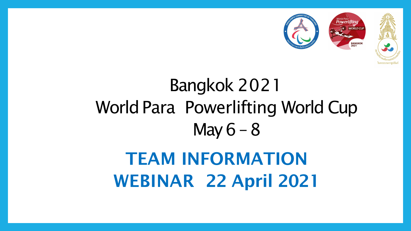# Bangkok 2021 World Para Powerlifting World Cup May  $6 - 8$ TEAM INFORMATION WEBINAR 22 April 2021



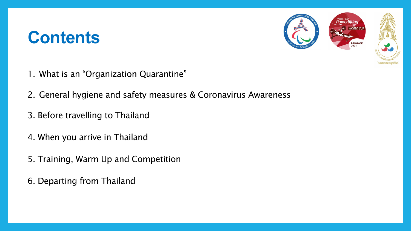# **Contents**

- 1. What is an "Organization Quarantine"
- 2. General hygiene and safety measures & Coronavirus Awareness
- 3. Before travelling to Thailand
- 4. When you arrive in Thailand
- 5. Training, Warm Up and Competition
- 6. Departing from Thailand



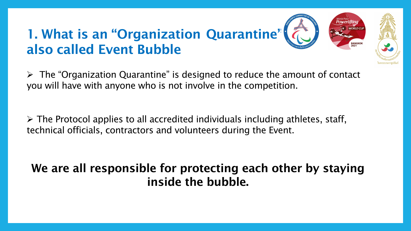# 1. What is an "Organization Quarantine" also called Event Bubble

 $\triangleright$  The "Organization Quarantine" is designed to reduce the amount of contact you will have with anyone who is not involve in the competition.

 $\triangleright$  The Protocol applies to all accredited individuals including athletes, staff, technical officials, contractors and volunteers during the Event.

# We are all responsible for protecting each other by staying inside the bubble.



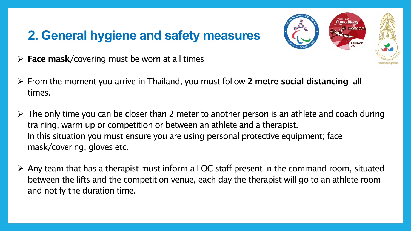## **2. General hygiene and safety measures**

- $\triangleright$  Face mask/covering must be worn at all times
- $\triangleright$  From the moment you arrive in Thailand, you must follow 2 metre social distancing all times.
- $\triangleright$  The only time you can be closer than 2 meter to another person is an athlete and coach during training, warm up or competition or between an athlete and a therapist. In this situation you must ensure you are using personal protective equipment; face mask/covering, gloves etc.
- $\triangleright$  Any team that has a therapist must inform a LOC staff present in the command room, situated between the lifts and the competition venue, each day the therapist will go to an athlete room and notify the duration time.



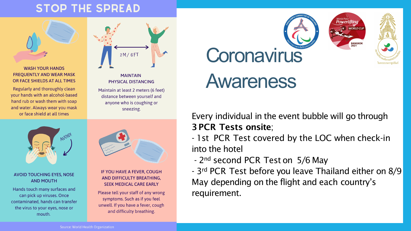### **STOP THE SPREAD**



### **WASH YOUR HANDS FREQUENTLY AND WEAR MASK** OR FACE SHIELDS AT ALL TIMES

Regularly and thoroughly clean your hands with an alcohol-based hand rub or wash them with soap and water. Always wear you mask or face shield at all times



### **MAINTAIN** PHYSICAL DISTANCING

Maintain at least 2 meters (6 feet) distance between yourself and anyone who is coughing or sneezing.



### **AVOID TOUCHING EYES, NOSE AND MOUTH**

Hands touch many surfaces and can pick up viruses. Once contaminated, hands can transfer the virus to your eyes, nose or mouth.



### IF YOU HAVE A FEVER, COUGH AND DIFFICULTY BREATHING, **SEEK MEDICAL CARE EARLY**

Please tell your staff of any wrong symptoms. Such as if you feel unwell. If you have a fever, cough and difficulty breathing.

Every individual in the event bubble will go through 3 PCR Tests onsite; - 1st PCR Test covered by the LOC when check-in

into the hotel

- 2<sup>nd</sup> second PCR Test on 5/6 May - 3rd PCR Test before you leave Thailand either on 8/9 May depending on the flight and each country's requirement.







# **Coronavirus** Awareness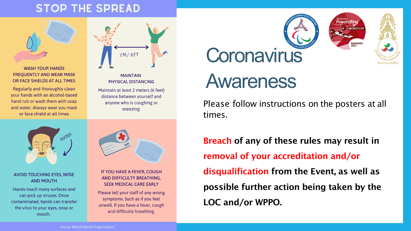### **STOP THE SPREAD**



### **WASH YOUR HANDS FREQUENTLY AND WEAR MASK** OR FACE SHIELDS AT ALL TIMES

Regularly and thoroughly clean your hands with an alcohol-based hand rub or wash them with soap and water. Always wear you mask or face shield at all times



### **MAINTAIN** PHYSICAL DISTANCING

Maintain at least 2 meters (6 feet) distance between yourself and anyone who is coughing or sneezing.



### **AVOID TOUCHING EYES, NOSE AND MOUTH**

Hands touch many surfaces and can pick up viruses. Once contaminated, hands can transfer the virus to your eyes, nose or mouth.



### IF YOU HAVE A FEVER, COUGH AND DIFFICULTY BREATHING, **SEEK MEDICAL CARE EARLY**

Please tell your staff of any wrong symptoms. Such as if you feel unwell. If you have a fever, cough and difficulty breathing.

# **Coronavirus** Awareness

### Please follow instructions on the posters at all

times.

# Breach of any of these rules may result in

removal of your accreditation and/or LOC and/or WPPO.







- disqualification from the Event, as well as
- possible further action being taken by the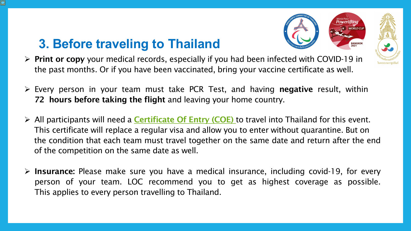# **3. Before traveling to Thailand**

- Print or copy your medical records, especially if you had been infected with COVID-19 in the past months. Or if you have been vaccinated, bring your vaccine certificate as well.
- $\triangleright$  Every person in your team must take PCR Test, and having **negative** result, within 72 hours before taking the flight and leaving your home country.
- $\triangleright$  All participants will need a **[Certificate](https://coethailand.mfa.go.th/) Of Entry (COE)** to travel into Thailand for this event. This certificate will replace a regular visa and allow you to enter without quarantine. But on the condition that each team must travel together on the same date and return after the end of the competition on the same date as well.
- $\triangleright$  Insurance: Please make sure you have a medical insurance, including covid-19, for every person of your team. LOC recommend you to get as highest coverage as possible. This applies to every person travelling to Thailand.



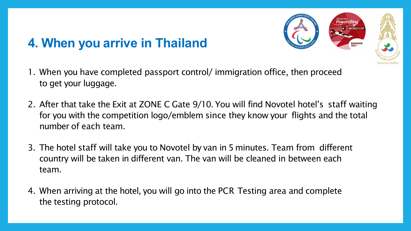# **4. When you arrive in Thailand**

- 1. When you have completed passport control/ immigration office, then proceed to get your luggage.
- 2. After that take the Exit at ZONE C Gate 9/10. You will find Novotel hotel's staff waiting for you with the competition logo/emblem since they know your flights and the total number of each team.
- 3. The hotel staff will take you to Novotel by van in 5 minutes. Team from different country will be taken in different van. The van will be cleaned in between each team.
- 4. When arriving at the hotel, you will go into the PCR Testing area and complete the testing protocol.



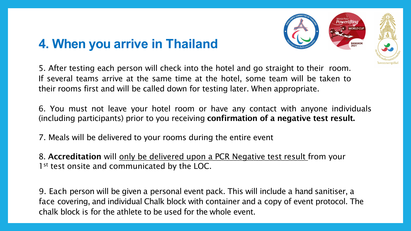## **4. When you arrive in Thailand**

5. After testing each person will check into the hotel and go straight to their room. If several teams arrive at the same time at the hotel, some team will be taken to their rooms first and will be called down for testing later. When appropriate.

6. You must not leave your hotel room or have any contact with anyone individuals (including participants) prior to you receiving confirmation of a negative test result.

7. Meals will be delivered to your rooms during the entire event

8. Accreditation will only be delivered upon a PCR Negative test result from your 1<sup>st</sup> test onsite and communicated by the LOC.

9. Each person will be given a personal event pack. This will include a hand sanitiser, a face covering, and individual Chalk block with container and a copy of event protocol. The chalk block is for the athlete to be used for the whole event.



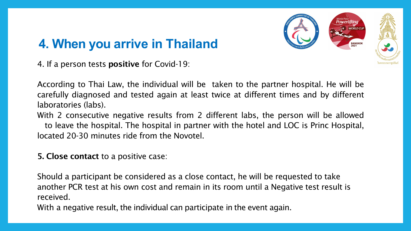# **4. When you arrive in Thailand**

4. If a person tests positive for Covid-19:

According to Thai Law, the individual will be taken to the partner hospital. He will be carefully diagnosed and tested again at least twice at different times and by different laboratories (labs).

With 2 consecutive negative results from 2 different labs, the person will be allowed

to leave the hospital. The hospital in partner with the hotel and LOC is Princ Hospital, located 20-30 minutes ride from the Novotel.

5. Close contact to a positive case:

Should a participant be considered as a close contact, he will be requested to take another PCR test at his own cost and remain in its room until a Negative test result is received.

With a negative result, the individual can participate in the event again.



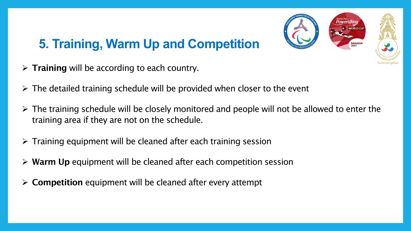# **5. Training, Warm Up and Competition**

- $\triangleright$  Training will be according to each country.
- $\triangleright$  The detailed training schedule will be provided when closer to the event
- $\triangleright$  The training schedule will be closely monitored and people will not be allowed to enter the training area if they are not on the schedule.
- $\triangleright$  Training equipment will be cleaned after each training session
- $\triangleright$  Warm Up equipment will be cleaned after each competition session
- Competition equipment will be cleaned after every attempt

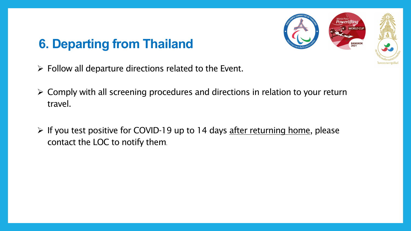# **6. Departing from Thailand**

- $\triangleright$  Follow all departure directions related to the Event.
- $\triangleright$  Comply with all screening procedures and directions in relation to your return travel.
- $\triangleright$  If you test positive for COVID-19 up to 14 days after returning home, please contact the LOC to notify them.